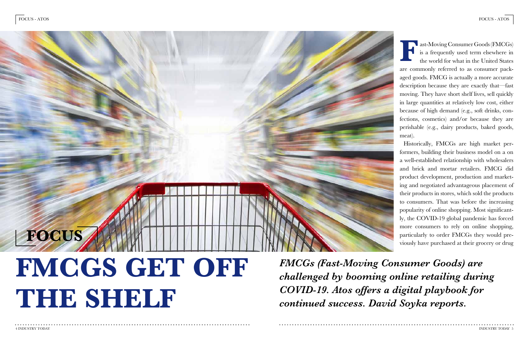ast-Moving Consumer Goods (FMCGs) is a frequently used term elsewhere in the world for what in the United States are commonly referred to as consumer packaged goods. FMCG is actually a more accurate description because they are exactly that—fast moving. They have short shelf lives, sell quickly in large quantities at relatively low cost, either because of high demand (e.g., soft drinks, confections, cosmetics) and/or because they are perishable (e.g., dairy products, baked goods, meat). **F**

Historically, FMCGs are high market performers, building their business model on a on a well-established relationship with wholesalers and brick and mortar retailers. FMCG did product development, production and marketing and negotiated advantageous placement of their products in stores, which sold the products to consumers. That was before the increasing popularity of online shopping. Most significantly, the COVID-19 global pandemic has forced more consumers to rely on online shopping, particularly to order FMCGs they would previously have purchased at their grocery or drug

*FMCGs (Fast-Moving Consumer Goods) are challenged by booming online retailing during COVID-19. Atos offers a digital playbook for continued success. David Soyka reports.* 

# **FMCGS GET OFF THE SHELF FOCUS**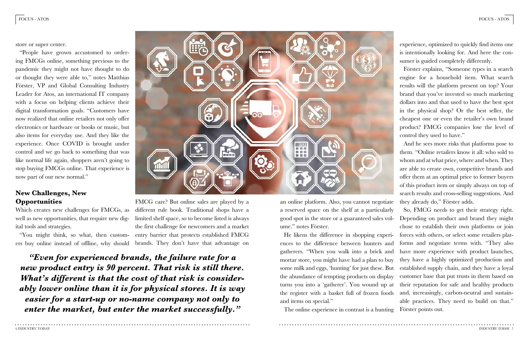experience, optimized to quickly find items one is intentionally looking for. And here the consumer is guided completely differently.

Förster explains, "Someone types in a search engine for a household item. What search results will the platform present on top? Your brand that you've invested so much marketing dollars into and that used to have the best spot in the physical shop? Or the best seller, the cheapest one or even the retailer's own brand product? FMCG companies lose the level of control they used to have."

an online platform. Also, you cannot negotiate a reserved space on the shelf at a particularly good spot in the store or a guaranteed sales volume." notes Förster. He likens the difference in shopping experiences to the difference between hunters and gatherers. "When you walk into a brick and mortar store, you might have had a plan to buy some milk and eggs, 'hunting' for just these. But the abundance of tempting products on display turns you into a 'gatherer'. You wound up at the register with a basket full of frozen foods and items on special." So, FMCG needs to get their strategy right. Depending on product and brand they might chose to establish their own platforms or join forces with others, or select some retailers platforms and negotiate terms with. "They also have more experience with product launches, they have a highly optimized production and established supply chain, and they have a loyal customer base that put trusts in them based on their reputation for safe and healthy products and, increasingly, carbon-neutral and sustainable practices. They need to build on that."

The online experience in contrast is a hunting Förster points out.

And he sees more risks that platforms pose to them. "Online retailers know it all: who sold to whom and at what price, where and when. They are able to create own, competitive brands and offer them at an optimal price to former buyers of this product item or simply always on top of search results and cross-selling suggestions. And they already do," Förster adds.

store or super center.

"People have grown accustomed to ordering FMCGs online, something previous to the pandemic they might not have thought to do or thought they were able to," notes Matthias Förster, VP and Global Consulting Industry Leader for Atos, an international IT company with a focus on helping clients achieve their digital transformation goals. "Customers have now realized that online retailers not only offer electronics or hardware or books or music, but also items for everyday use. And they like the experience. Once COVID is brought under control and we go back to something that was like normal life again, shoppers aren't going to stop buying FMCGs online. That experience is now part of our new normal."

## **New Challenges, New Opportunities**

Which creates new challenges for FMCGs, as well as new opportunities, that require new digital tools and strategies.

"You might think, so what, then custom-entry barrier that protects established FMCG FMCG care? But online sales are played by a different rule book. Traditional shops have a limited shelf space, so to become listed is always the first challenge for newcomers and a market

ers buy online instead of offline, why should brands. They don't have that advantage on

3212 普音雷 ■ 图 图 群田屋

*"Even for experienced brands, the failure rate for a new product entry is 90 percent. That risk is still there. What's different is that the cost of that risk is considerably lower online than it is for physical stores. It is way easier for a start-up or no-name company not only to enter the market, but enter the market successfully."*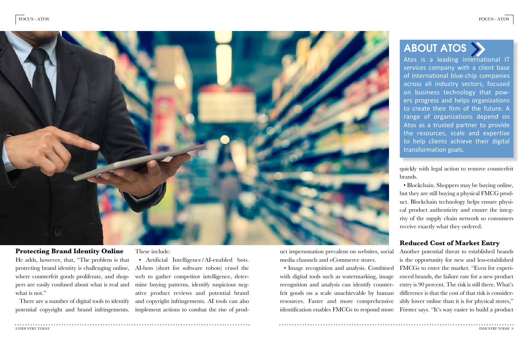quickly with legal action to remove counterfeit brands.

uct impersonation prevalent on websites, social media channels and eCommerce stores. • Image recognition and analysis. Combined with digital tools such as watermarking, image recognition and analysis can identify counterfeit goods on a scale unachievable by human resources. Faster and more comprehensive identification enables FMCGs to respond more Förster says. "It's way easier to build a product Another potential threat to established brands is the opportunity for new and less-established FMCGs to enter the market. "Even for experienced brands, the failure rate for a new product entry is 90 percent. The risk is still there. What's difference is that the cost of that risk is considerably lower online than it is for physical stores,"

# ABOUT ATOS

• Blockchain. Shoppers may be buying online, but they are still buying a physical FMCG product. Blockchain technology helps ensure physical product authenticity and ensure the integrity of the supply chain network so consumers receive exactly what they ordered.

He adds, however, that, "The problem is that protecting brand identity is challenging online, where counterfeit goods proliferate, and shoppers are easily confused about what is real and what is not."

# **Reduced Cost of Market Entry**

### **Protecting Brand Identity Online**

Atos is a leading international IT services company with a client base of international blue-chip companies across all industry sectors, focused on business technology that powers progress and helps organizations to create their firm of the future. A range of organizations depend on Atos as a trusted partner to provide the resources, scale and expertise to help clients achieve their digital transformation goals.

There are a number of digital tools to identify potential copyright and brand infringements.

These include:

• Artificial Intelligence/AI-enabled bots. AI-bots (short for software robots) crawl the web to gather competitor intelligence, determine buying patterns, identify suspicious negative product reviews and potential brand and copyright infringements. AI tools can also implement actions to combat the rise of prod-

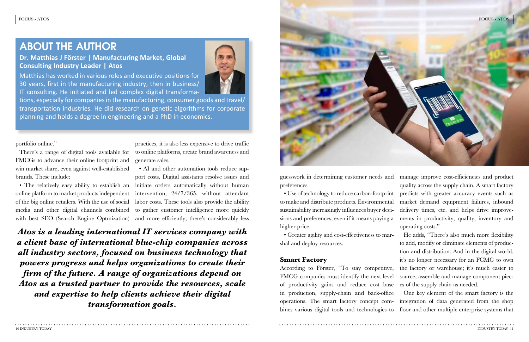guesswork in determining customer needs and preferences. to make and distribute products. Environmental sustainability increasingly influences buyer decisions and preferences, even if it means paying a higher price.

• Use of technology to reduce carbon-footprint manage improve cost-efficiencies and product quality across the supply chain. A smart factory predicts with greater accuracy events such as market demand equipment failures, inbound delivery times, etc. and helps drive improvements in productivity, quality, inventory and operating costs."

• Greater agility and cost-effectiveness to marshal and deploy resources. **Smart Factory** According to Förster, "To stay competitive, FMCG companies must identify the next level of productivity gains and reduce cost base He adds, "There's also much more flexibility to add, modify or eliminate elements of production and distribution. And in the digital world, it's no longer necessary for an FCMG to own the factory or warehouse; it's much easier to source, assemble and manage component pieces of the supply chain as needed.

in production, supply-chain and back-office operations. The smart factory concept combines various digital tools and technologies to One key element of the smart factory is the integration of data generated from the shop floor and other multiple enterprise systems that

portfolio online."

FMCGs to advance their online footprint and win market share, even against well-established brands. These include:

There's a range of digital tools available for to online platforms, create brand awareness and practices, it is also less expensive to drive traffic generate sales.

• The relatively easy ability to establish an initiate orders automatically without human of the big online retailers. With the use of social labor costs. These tools also provide the ability media and other digital channels combined to gather customer intelligence more quickly • AI and other automation tools reduce support costs. Digital assistants resolve issues and intervention, 24/7/365, without attendant

online platform to market products independent with best SEO (Search Engine Optmization) and more efficiently; there's considerably less

*Atos is a leading international IT services company with a client base of international blue-chip companies across all industry sectors, focused on business technology that powers progress and helps organizations to create their firm of the future. A range of organizations depend on Atos as a trusted partner to provide the resources, scale and expertise to help clients achieve their digital transformation goals.*







# ABOUT THE AUTHOR

# **Dr. Matthias J Förster | Manufacturing Market, Global Consulting Industry Leader | Atos**

Matthias has worked in various roles and executive positions for 30 years, first in the manufacturing industry, then in business/ IT consulting. He initiated and led complex digital transforma-

tions, especially for companies in the manufacturing, consumer goods and travel/ transportation industries. He did research on genetic algorithms for corporate planning and holds a degree in engineering and a PhD in economics.